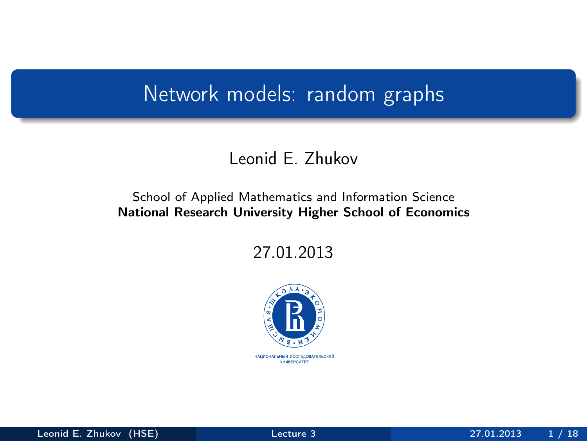#### <span id="page-0-0"></span>Network models: random graphs

#### Leonid E. Zhukov

#### School of Applied Mathematics and Information Science National Research University Higher School of Economics

27.01.2013

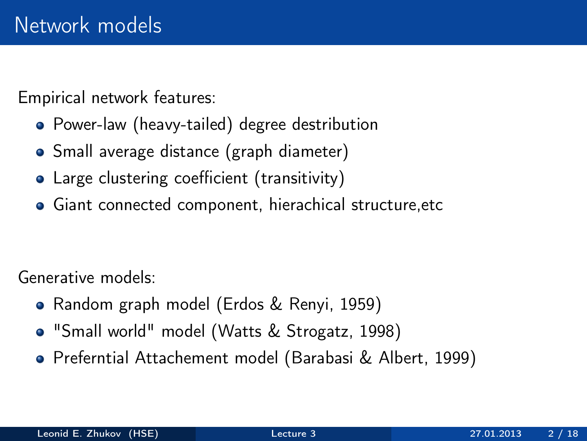Empirical network features:

- Power-law (heavy-tailed) degree destribution
- Small average distance (graph diameter)
- Large clustering coefficient (transitivity)
- Giant connected component, hierachical structure,etc

Generative models:

- Random graph model (Erdos & Renyi, 1959)
- "Small world" model (Watts & Strogatz, 1998)
- Preferntial Attachement model (Barabasi & Albert, 1999)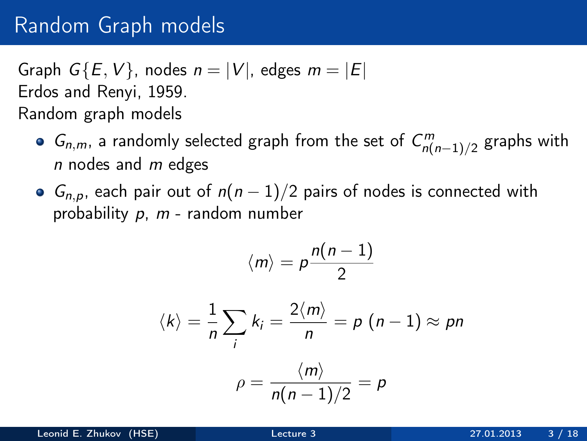## Random Graph models

Graph  $G\{E, V\}$ , nodes  $n = |V|$ , edges  $m = |E|$ Erdos and Renyi, 1959. Random graph models

- $G_{n,m}$ , a randomly selected graph from the set of  $C_{n(n-1)/2}^m$  graphs with  $n$  nodes and  $m$  edges
- $G_{n,p}$ , each pair out of  $n(n-1)/2$  pairs of nodes is connected with probability  $p$ ,  $m$  - random number

$$
\langle m \rangle = p \frac{n(n-1)}{2}
$$

$$
\langle k \rangle = \frac{1}{n} \sum_{i} k_{i} = \frac{2 \langle m \rangle}{n} = p (n - 1) \approx pn
$$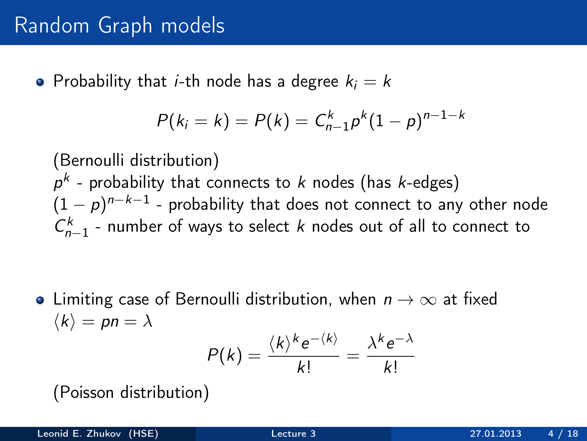• Probability that *i*-th node has a degree  $k_i = k$ 

$$
P(k_i = k) = P(k) = C_{n-1}^{k} p^{k} (1-p)^{n-1-k}
$$

(Bernoulli distribution)  $\rho^k$  - probability that connects to  $k$  nodes (has  $k$ -edges)  $(1-\rho)^{n-k-1}$  - probability that does not connect to any other node  $C_{n-1}^k$  - number of ways to select k nodes out of all to connect to

• Limiting case of Bernoulli distribution, when  $n \to \infty$  at fixed  $\langle k \rangle = pn = \lambda$  $k e^{-\langle k \rangle} \lambda^k e^{-\lambda}$ 

$$
P(k) = \frac{\langle k \rangle^k e^{-\langle k \rangle}}{k!} = \frac{\lambda^k e^{-\lambda}}{k!}
$$

(Poisson distribution)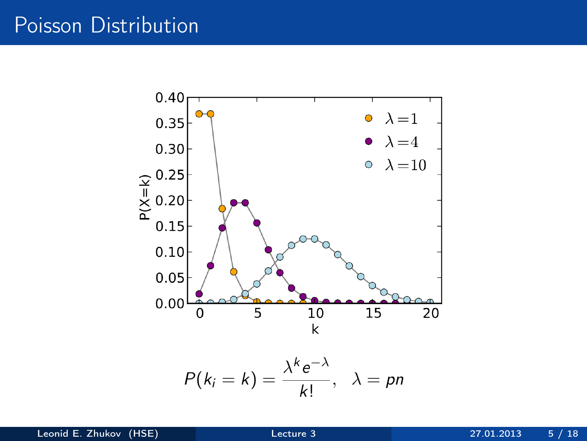#### Poisson Distribution

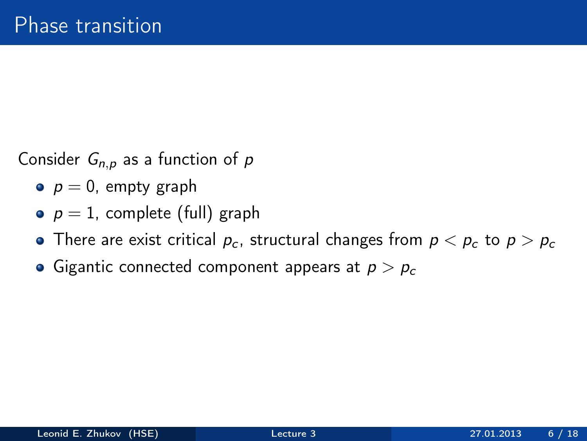Consider  $G_{n,p}$  as a function of p

- $p = 0$ , empty graph
- $p = 1$ , complete (full) graph
- There are exist critical  $p_c$ , structural changes from  $p < p_c$  to  $p > p_c$
- Gigantic connected component appears at  $p > p_c$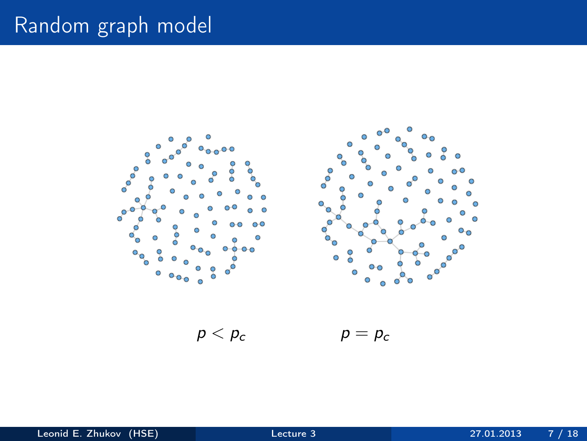# Random graph model



 $p < p_c$   $p = p_c$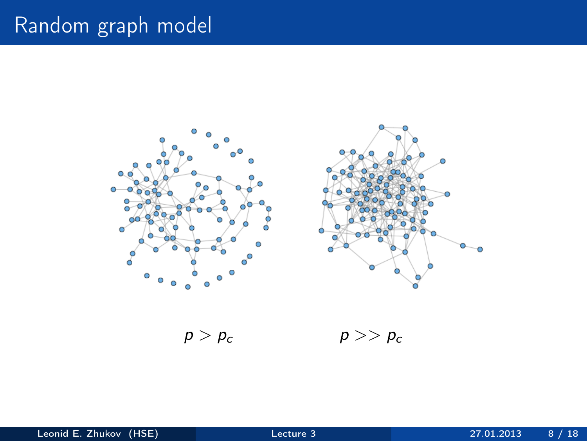# Random graph model



 $p > p_c$   $p >> p_c$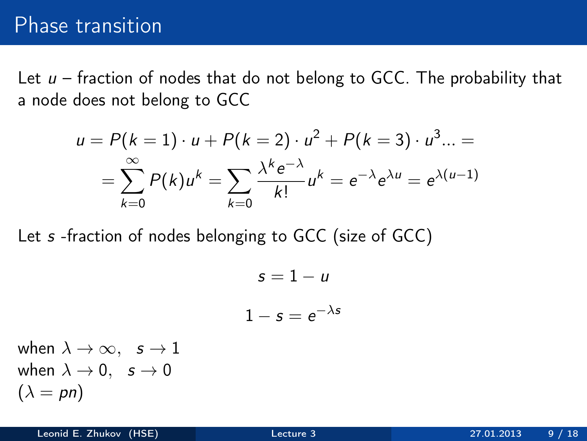### Phase transition

Let  $u$  – fraction of nodes that do not belong to GCC. The probability that a node does not belong to GCC

$$
u = P(k = 1) \cdot u + P(k = 2) \cdot u^{2} + P(k = 3) \cdot u^{3} ... =
$$
  
= 
$$
\sum_{k=0}^{\infty} P(k)u^{k} = \sum_{k=0}^{\infty} \frac{\lambda^{k} e^{-\lambda}}{k!} u^{k} = e^{-\lambda} e^{\lambda u} = e^{\lambda(u-1)}
$$

Let s -fraction of nodes belonging to GCC (size of GCC)

$$
s = 1 - u
$$

$$
1 - s = e^{-\lambda s}
$$

when  $\lambda \to \infty$ ,  $s \to 1$ when  $\lambda \rightarrow 0$ ,  $s \rightarrow 0$  $(\lambda = pn)$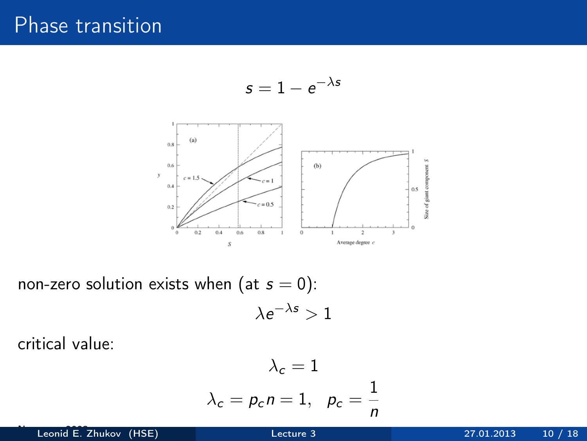## Phase transition

$$
s=1-e^{-\lambda s}
$$



non-zero solution exists when (at  $s = 0$ ):  $\lambda e^{-\lambda s}>1$ 

critical value:

$$
\lambda_c = 1
$$
  

$$
\lambda_c = p_c n = 1, \ \ p_c = \frac{1}{n}
$$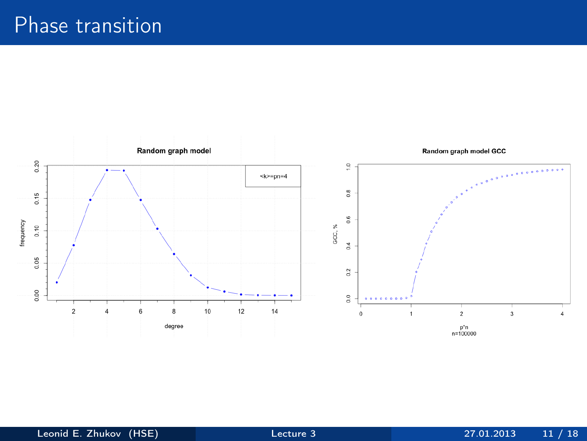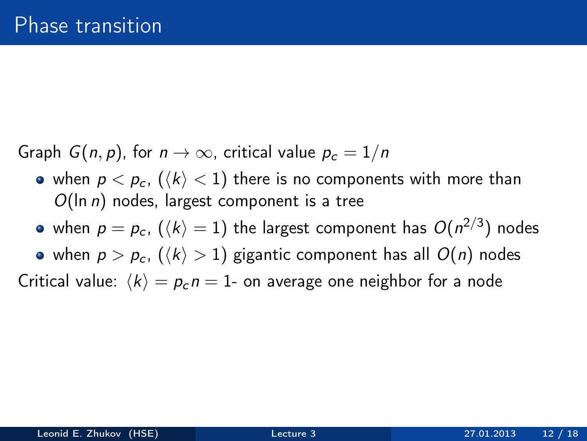Graph  $G(n, p)$ , for  $n \to \infty$ , critical value  $p_c = 1/n$ 

- when  $p < p_c$ ,  $(\langle k \rangle < 1)$  there is no components with more than  $O(\ln n)$  nodes, largest component is a tree
- when  $\rho = \rho_c$ ,  $(\langle k \rangle = 1)$  the largest component has  $O(n^{2/3})$  nodes

• when  $p > p_c$ ,  $(\langle k \rangle > 1)$  gigantic component has all  $O(n)$  nodes

Critical value:  $\langle k \rangle = p_c n = 1$ - on average one neighbor for a node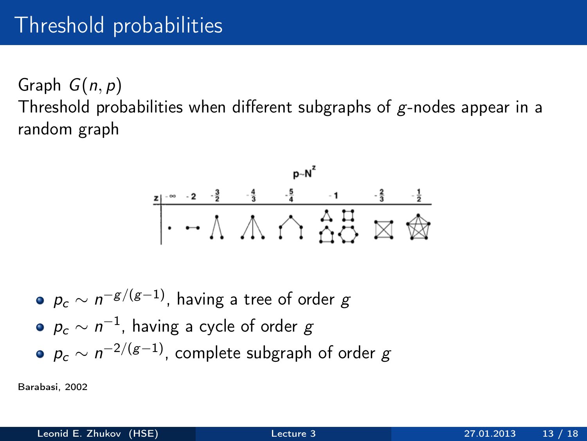# Threshold probabilities

Graph  $G(n, p)$ Threshold probabilities when different subgraphs of  $g$ -nodes appear in a random graph



\n- $$
p_c \sim n^{-g/(g-1)}
$$
, having a tree of order  $g$
\n- $p_c \sim n^{-1}$ , having a cycle of order  $g$
\n- $p_c \sim n^{-2/(g-1)}$ , complete subgraph of order  $g$
\n

Barabasi, 2002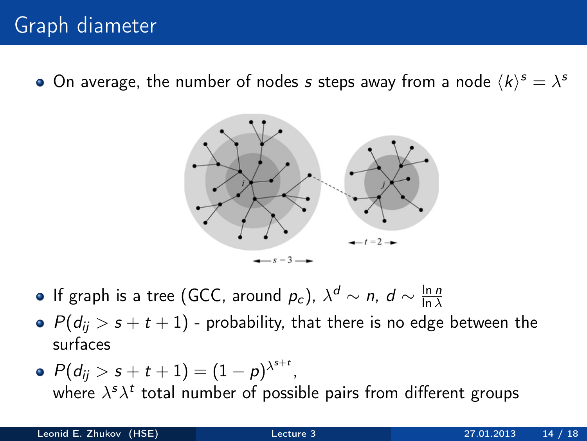On average, the number of nodes  $s$  steps away from a node  $\langle k \rangle^s = \lambda^s$ 



- If graph is a tree (GCC, around  $p_c$ ),  $\lambda^d \sim n$ ,  $d \sim \frac{\ln n}{\ln \lambda}$ ln  $\lambda$
- $P(d_{ii} > s + t + 1)$  probability, that there is no edge between the surfaces
- $P(d_{ij}>s+t+1)=(1-\rho)^{\lambda^{s+t}}$  , where  $\lambda^s \lambda^t$  total number of possible pairs from different groups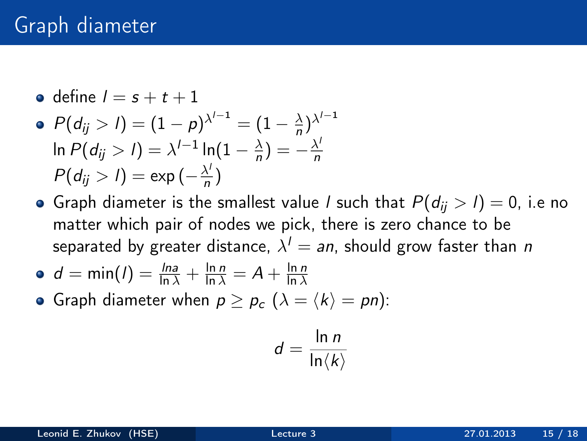• define 
$$
l = s + t + 1
$$

$$
P(d_{ij} > l) = (1 - p)^{\lambda^{l-1}} = (1 - \frac{\lambda}{n})^{\lambda^{l-1}}
$$
  
In  $P(d_{ij} > l) = \lambda^{l-1} \ln(1 - \frac{\lambda}{n}) = -\frac{\lambda^l}{n}$   
 $P(d_{ij} > l) = \exp(-\frac{\lambda^l}{n})$ 

• Graph diameter is the smallest value *l* such that  $P(d_{ij} > l) = 0$ , i.e no matter which pair of nodes we pick, there is zero chance to be separated by greater distance,  $\lambda^I =$   $a$ n, should grow faster than  $\emph{n}$ 

$$
\bullet \ \ d = \min(I) = \frac{\ln a}{\ln \lambda} + \frac{\ln n}{\ln \lambda} = A + \frac{\ln n}{\ln \lambda}
$$

Graph diameter when  $p \ge p_c$   $(\lambda = \langle k \rangle = pn)$ :

$$
d=\frac{\ln n}{\ln \langle k \rangle}
$$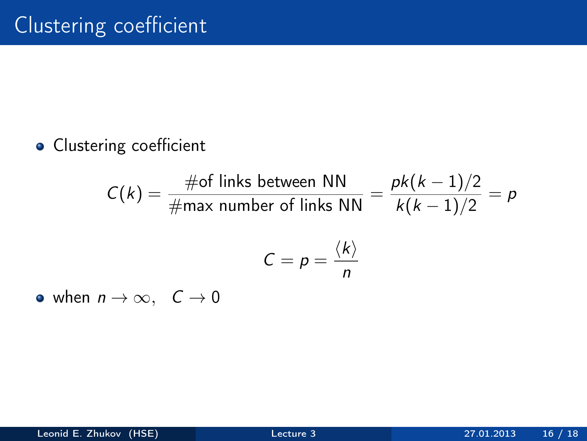#### **·** Clustering coefficient

$$
C(k) = \frac{\text{\#of links between NN}}{\text{\#max number of links NN}} = \frac{pk(k-1)/2}{k(k-1)/2} = p
$$

$$
C = p = \frac{\langle k \rangle}{n}
$$

• when  $n \to \infty$ ,  $C \to 0$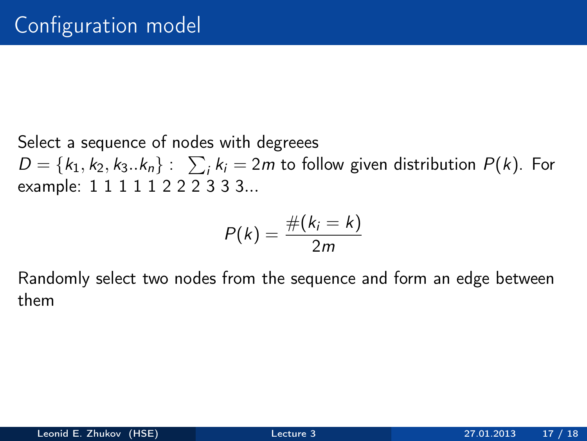Select a sequence of nodes with degreees  $D = \{k_1, k_2, k_3..k_n\}: \sum_i k_i = 2m$  to follow given distribution  $P(k)$ . For example: 1 1 1 1 1 2 2 2 3 3 3...

$$
P(k)=\frac{\#(k_i=k)}{2m}
$$

Randomly select two nodes from the sequence and form an edge between them